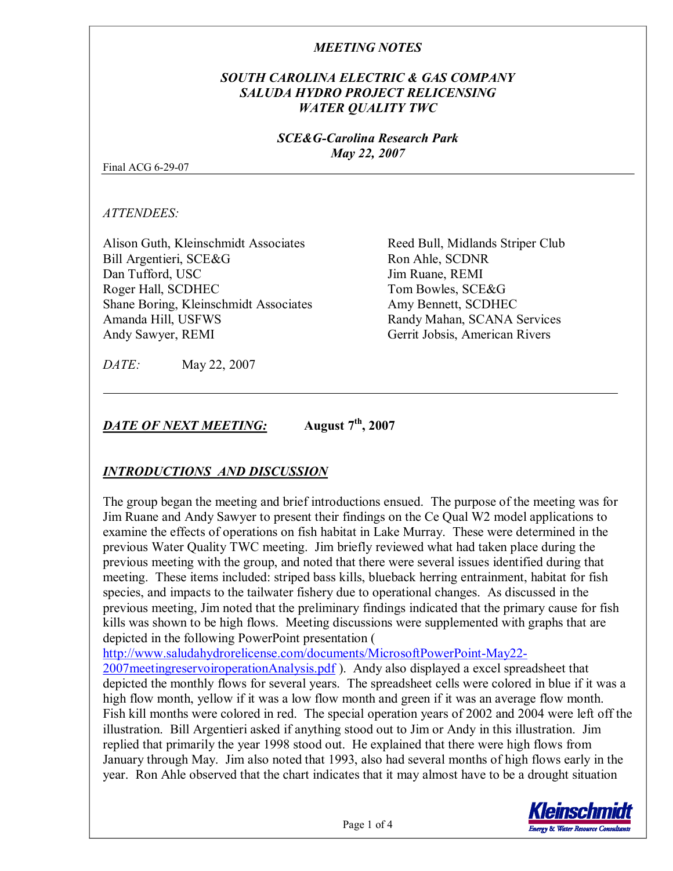## *SOUTH CAROLINA ELECTRIC & GAS COMPANY SALUDA HYDRO PROJECT RELICENSING WATER QUALITY TWC*

*SCE&GCarolina Research Park May 22, 2007*

Final ACG 6-29-07

*ATTENDEES:*

Alison Guth, Kleinschmidt Associates Bill Argentieri, SCE&G Dan Tufford, USC Roger Hall, SCDHEC Shane Boring, Kleinschmidt Associates Amanda Hill, USFWS Andy Sawyer, REMI

Reed Bull, Midlands Striper Club Ron Ahle, SCDNR Jim Ruane, REMI Tom Bowles, SCE&G Amy Bennett, SCDHEC Randy Mahan, SCANA Services Gerrit Jobsis, American Rivers

*DATE:* May 22, 2007

*DATE OF NEXT MEETING:* **August 7 th , 2007**

# *INTRODUCTIONS AND DISCUSSION*

The group began the meeting and brief introductions ensued. The purpose of the meeting was for Jim Ruane and Andy Sawyer to present their findings on the Ce Qual W2 model applications to examine the effects of operations on fish habitat in Lake Murray. These were determined in the previous Water Quality TWC meeting. Jim briefly reviewed what had taken place during the previous meeting with the group, and noted that there were several issues identified during that meeting. These items included: striped bass kills, blueback herring entrainment, habitat for fish species, and impacts to the tailwater fishery due to operational changes. As discussed in the previous meeting, Jim noted that the preliminary findings indicated that the primary cause for fish kills was shown to be high flows. Meeting discussions were supplemented with graphs that are depicted in the following PowerPoint presentation (

http://www.saludahydrorelicense.com/documents/MicrosoftPowerPoint-May22-

2007meetingreservoiroperationAnalysis.pdf ). Andy also displayed a excel spreadsheet that depicted the monthly flows for several years. The spreadsheet cells were colored in blue if it was a high flow month, yellow if it was a low flow month and green if it was an average flow month. Fish kill months were colored in red. The special operation years of 2002 and 2004 were left off the illustration. Bill Argentieri asked if anything stood out to Jim or Andy in this illustration. Jim replied that primarily the year 1998 stood out. He explained that there were high flows from January through May. Jim also noted that 1993, also had several months of high flows early in the year. Ron Ahle observed that the chart indicates that it may almost have to be a drought situation

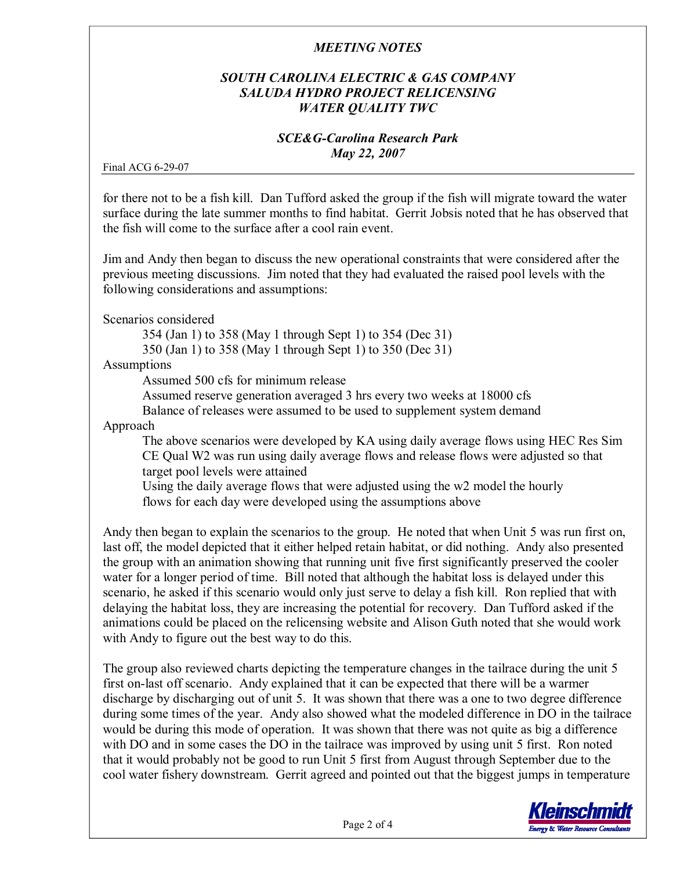# *SOUTH CAROLINA ELECTRIC & GAS COMPANY SALUDA HYDRO PROJECT RELICENSING WATER QUALITY TWC*

#### *SCE&GCarolina Research Park May 22, 2007*

Final ACG 6-29-07

for there not to be a fish kill. Dan Tufford asked the group if the fish will migrate toward the water surface during the late summer months to find habitat. Gerrit Jobsis noted that he has observed that the fish will come to the surface after a cool rain event.

Jim and Andy then began to discuss the new operational constraints that were considered after the previous meeting discussions. Jim noted that they had evaluated the raised pool levels with the following considerations and assumptions:

Scenarios considered

354 (Jan 1) to 358 (May 1 through Sept 1) to 354 (Dec 31)

350 (Jan 1) to 358 (May 1 through Sept 1) to 350 (Dec 31)

#### Assumptions

Assumed 500 cfs for minimum release

Assumed reserve generation averaged 3 hrs every two weeks at 18000 cfs

Balance of releases were assumed to be used to supplement system demand

Approach

The above scenarios were developed by KA using daily average flows using HEC Res Sim CE Qual W2 was run using daily average flows and release flows were adjusted so that target pool levels were attained

Using the daily average flows that were adjusted using the w2 model the hourly flows for each day were developed using the assumptions above

Andy then began to explain the scenarios to the group. He noted that when Unit 5 was run first on, last off, the model depicted that it either helped retain habitat, or did nothing. Andy also presented the group with an animation showing that running unit five first significantly preserved the cooler water for a longer period of time. Bill noted that although the habitat loss is delayed under this scenario, he asked if this scenario would only just serve to delay a fish kill. Ron replied that with delaying the habitat loss, they are increasing the potential for recovery. Dan Tufford asked if the animations could be placed on the relicensing website and Alison Guth noted that she would work with Andy to figure out the best way to do this.

The group also reviewed charts depicting the temperature changes in the tailrace during the unit 5 first on-last off scenario. Andy explained that it can be expected that there will be a warmer discharge by discharging out of unit 5. It was shown that there was a one to two degree difference during some times of the year. Andy also showed what the modeled difference in DO in the tailrace would be during this mode of operation. It was shown that there was not quite as big a difference with DO and in some cases the DO in the tailrace was improved by using unit 5 first. Ron noted that it would probably not be good to run Unit 5 first from August through September due to the cool water fishery downstream. Gerrit agreed and pointed out that the biggest jumps in temperature

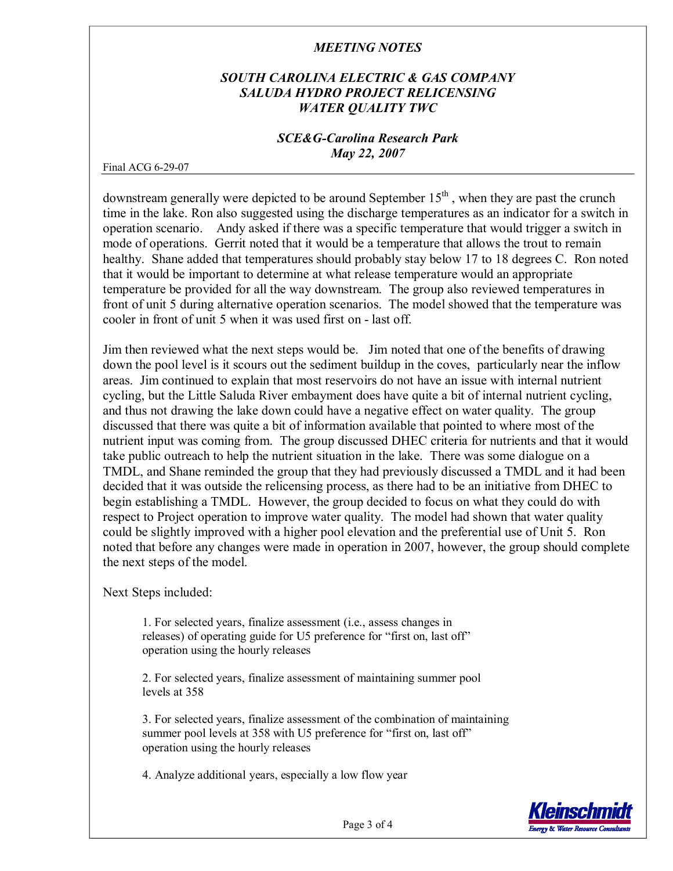# *SOUTH CAROLINA ELECTRIC & GAS COMPANY SALUDA HYDRO PROJECT RELICENSING WATER QUALITY TWC*

#### *SCE&GCarolina Research Park May 22, 2007*

Final ACG 6-29-07

downstream generally were depicted to be around September 15<sup>th</sup>, when they are past the crunch time in the lake. Ron also suggested using the discharge temperatures as an indicator for a switch in operation scenario. Andy asked if there was a specific temperature that would trigger a switch in mode of operations. Gerrit noted that it would be a temperature that allows the trout to remain healthy. Shane added that temperatures should probably stay below 17 to 18 degrees C. Ron noted that it would be important to determine at what release temperature would an appropriate temperature be provided for all the way downstream. The group also reviewed temperatures in front of unit 5 during alternative operation scenarios. The model showed that the temperature was cooler in front of unit 5 when it was used first on - last off.

Jim then reviewed what the next steps would be. Jim noted that one of the benefits of drawing down the pool level is it scours out the sediment buildup in the coves, particularly near the inflow areas. Jim continued to explain that most reservoirs do not have an issue with internal nutrient cycling, but the Little Saluda River embayment does have quite a bit of internal nutrient cycling, and thus not drawing the lake down could have a negative effect on water quality. The group discussed that there was quite a bit of information available that pointed to where most of the nutrient input was coming from. The group discussed DHEC criteria for nutrients and that it would take public outreach to help the nutrient situation in the lake. There was some dialogue on a TMDL, and Shane reminded the group that they had previously discussed a TMDL and it had been decided that it was outside the relicensing process, as there had to be an initiative from DHEC to begin establishing a TMDL. However, the group decided to focus on what they could do with respect to Project operation to improve water quality. The model had shown that water quality could be slightly improved with a higher pool elevation and the preferential use of Unit 5. Ron noted that before any changes were made in operation in 2007, however, the group should complete the next steps of the model.

Next Steps included:

1. For selected years, finalize assessment (i.e., assess changes in releases) of operating guide for U5 preference for "first on, last off" operation using the hourly releases

2. For selected years, finalize assessment of maintaining summer pool levels at 358

3. For selected years, finalize assessment of the combination of maintaining summer pool levels at 358 with U5 preference for "first on, last off" operation using the hourly releases

4. Analyze additional years, especially a low flow year